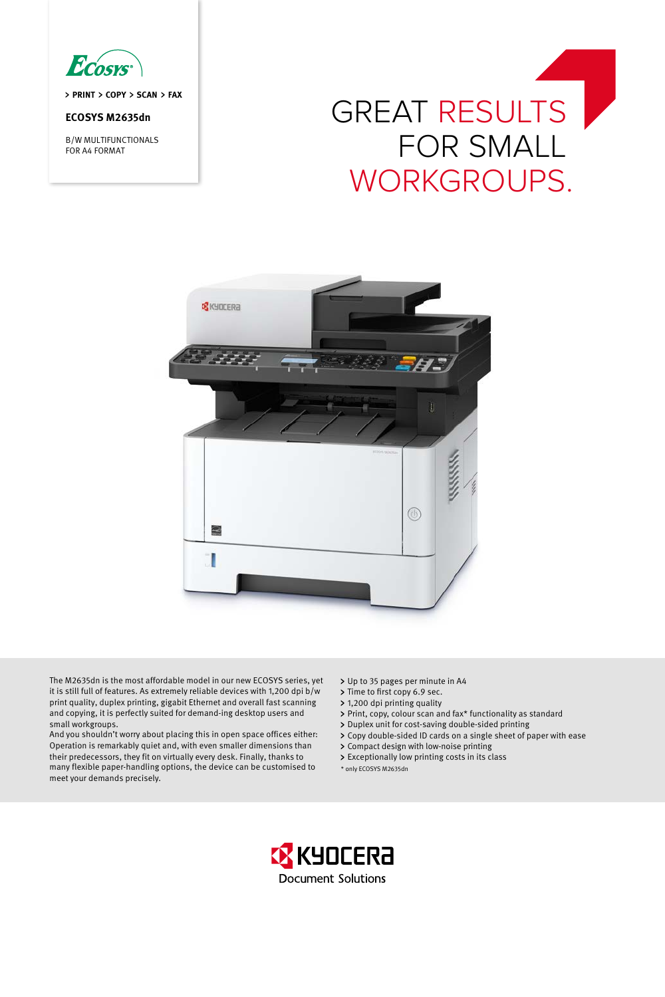

> PRINT > COPY > SCAN > FAX

# **ECOSYS M2635dn**

B/W MULTIFUNCTIONALS FOR A4 FORMAT

# GREAT RESULTS for smalL workgroups.



The M2635dn is the most affordable model in our new ECOSYS series, yet it is still full of features. As extremely reliable devices with 1,200 dpi b/w print quality, duplex printing, gigabit Ethernet and overall fast scanning and copying, it is perfectly suited for demand-ing desktop users and small workgroups.

And you shouldn't worry about placing this in open space offices either: Operation is remarkably quiet and, with even smaller dimensions than their predecessors, they fit on virtually every desk. Finally, thanks to many flexible paper-handling options, the device can be customised to meet your demands precisely.

- Up to 35 pages per minute in A4
- > Time to first copy 6.9 sec.
- 1,200 dpi printing quality
- Print, copy, colour scan and fax\* functionality as standard
- > Duplex unit for cost-saving double-sided printing
- Copy double-sided ID cards on a single sheet of paper with ease
- Compact design with low-noise printing
- Exceptionally low printing costs in its class
- \* only ECOSYS M2635dn